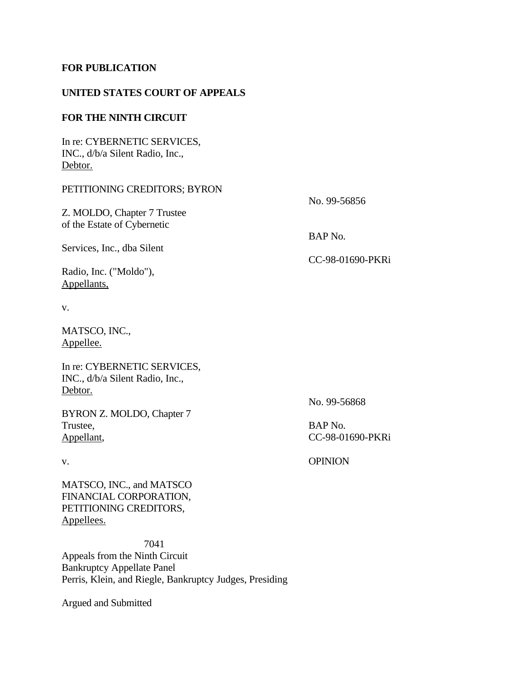## **FOR PUBLICATION**

### **UNITED STATES COURT OF APPEALS**

## **FOR THE NINTH CIRCUIT**

In re: CYBERNETIC SERVICES, INC., d/b/a Silent Radio, Inc., Debtor.

# PETITIONING CREDITORS; BYRON

Z. MOLDO, Chapter 7 Trustee of the Estate of Cybernetic

Services, Inc., dba Silent

Radio, Inc. ("Moldo"), Appellants,

v.

MATSCO, INC., Appellee.

In re: CYBERNETIC SERVICES, INC., d/b/a Silent Radio, Inc., Debtor.

BYRON Z. MOLDO, Chapter 7 Trustee, BAP No. Appellant, CC-98-01690-PKRi

MATSCO, INC., and MATSCO FINANCIAL CORPORATION, PETITIONING CREDITORS, Appellees.

 7041 Appeals from the Ninth Circuit Bankruptcy Appellate Panel Perris, Klein, and Riegle, Bankruptcy Judges, Presiding

Argued and Submitted

No. 99-56856

BAP No.

CC-98-01690-PKRi

No. 99-56868

v. OPINION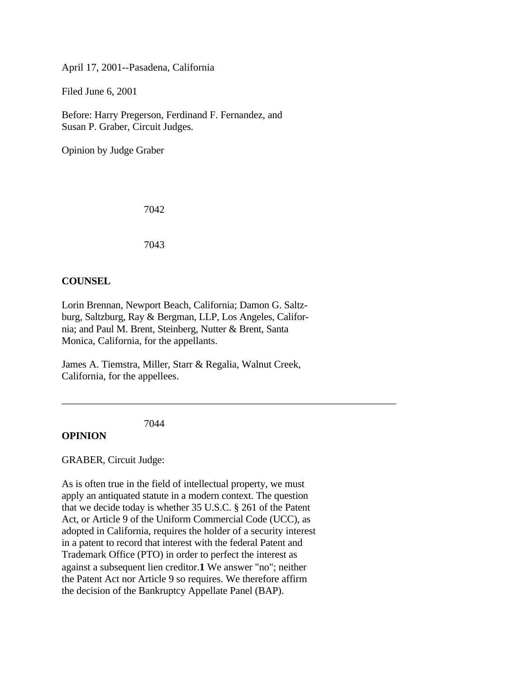April 17, 2001--Pasadena, California

Filed June 6, 2001

Before: Harry Pregerson, Ferdinand F. Fernandez, and Susan P. Graber, Circuit Judges.

Opinion by Judge Graber

7042

7043

### **COUNSEL**

Lorin Brennan, Newport Beach, California; Damon G. Saltzburg, Saltzburg, Ray & Bergman, LLP, Los Angeles, California; and Paul M. Brent, Steinberg, Nutter & Brent, Santa Monica, California, for the appellants.

James A. Tiemstra, Miller, Starr & Regalia, Walnut Creek, California, for the appellees.

\_\_\_\_\_\_\_\_\_\_\_\_\_\_\_\_\_\_\_\_\_\_\_\_\_\_\_\_\_\_\_\_\_\_\_\_\_\_\_\_\_\_\_\_\_\_\_\_\_\_\_\_\_\_\_\_\_\_\_\_\_\_\_\_\_

7044

## **OPINION**

GRABER, Circuit Judge:

As is often true in the field of intellectual property, we must apply an antiquated statute in a modern context. The question that we decide today is whether 35 U.S.C. § 261 of the Patent Act, or Article 9 of the Uniform Commercial Code (UCC), as adopted in California, requires the holder of a security interest in a patent to record that interest with the federal Patent and Trademark Office (PTO) in order to perfect the interest as against a subsequent lien creditor.**1** We answer "no"; neither the Patent Act nor Article 9 so requires. We therefore affirm the decision of the Bankruptcy Appellate Panel (BAP).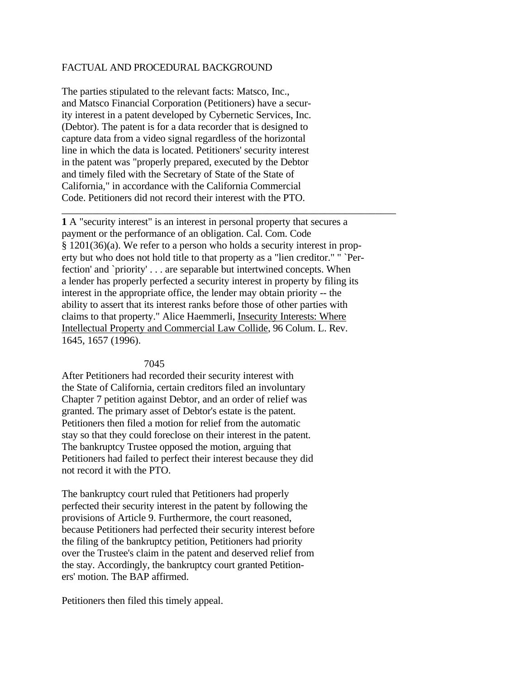### FACTUAL AND PROCEDURAL BACKGROUND

The parties stipulated to the relevant facts: Matsco, Inc., and Matsco Financial Corporation (Petitioners) have a security interest in a patent developed by Cybernetic Services, Inc. (Debtor). The patent is for a data recorder that is designed to capture data from a video signal regardless of the horizontal line in which the data is located. Petitioners' security interest in the patent was "properly prepared, executed by the Debtor and timely filed with the Secretary of State of the State of California," in accordance with the California Commercial Code. Petitioners did not record their interest with the PTO.

**1** A "security interest" is an interest in personal property that secures a payment or the performance of an obligation. Cal. Com. Code § 1201(36)(a). We refer to a person who holds a security interest in property but who does not hold title to that property as a "lien creditor." " `Perfection' and `priority' . . . are separable but intertwined concepts. When a lender has properly perfected a security interest in property by filing its interest in the appropriate office, the lender may obtain priority -- the ability to assert that its interest ranks before those of other parties with claims to that property." Alice Haemmerli, Insecurity Interests: Where Intellectual Property and Commercial Law Collide, 96 Colum. L. Rev. 1645, 1657 (1996).

\_\_\_\_\_\_\_\_\_\_\_\_\_\_\_\_\_\_\_\_\_\_\_\_\_\_\_\_\_\_\_\_\_\_\_\_\_\_\_\_\_\_\_\_\_\_\_\_\_\_\_\_\_\_\_\_\_\_\_\_\_\_\_\_\_

#### 7045

After Petitioners had recorded their security interest with the State of California, certain creditors filed an involuntary Chapter 7 petition against Debtor, and an order of relief was granted. The primary asset of Debtor's estate is the patent. Petitioners then filed a motion for relief from the automatic stay so that they could foreclose on their interest in the patent. The bankruptcy Trustee opposed the motion, arguing that Petitioners had failed to perfect their interest because they did not record it with the PTO.

The bankruptcy court ruled that Petitioners had properly perfected their security interest in the patent by following the provisions of Article 9. Furthermore, the court reasoned, because Petitioners had perfected their security interest before the filing of the bankruptcy petition, Petitioners had priority over the Trustee's claim in the patent and deserved relief from the stay. Accordingly, the bankruptcy court granted Petitioners' motion. The BAP affirmed.

Petitioners then filed this timely appeal.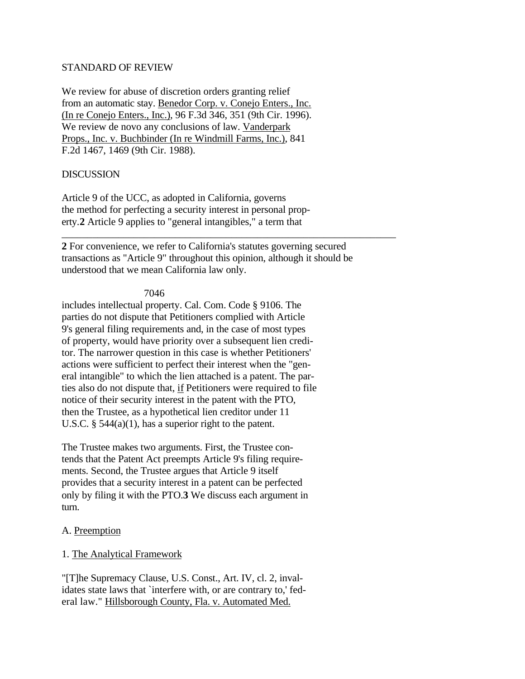### STANDARD OF REVIEW

We review for abuse of discretion orders granting relief from an automatic stay. Benedor Corp. v. Conejo Enters., Inc. (In re Conejo Enters., Inc.), 96 F.3d 346, 351 (9th Cir. 1996). We review de novo any conclusions of law. Vanderpark Props., Inc. v. Buchbinder (In re Windmill Farms, Inc.), 841 F.2d 1467, 1469 (9th Cir. 1988).

## DISCUSSION

Article 9 of the UCC, as adopted in California, governs the method for perfecting a security interest in personal property.**2** Article 9 applies to "general intangibles," a term that

**2** For convenience, we refer to California's statutes governing secured transactions as "Article 9" throughout this opinion, although it should be understood that we mean California law only.

\_\_\_\_\_\_\_\_\_\_\_\_\_\_\_\_\_\_\_\_\_\_\_\_\_\_\_\_\_\_\_\_\_\_\_\_\_\_\_\_\_\_\_\_\_\_\_\_\_\_\_\_\_\_\_\_\_\_\_\_\_\_\_\_\_

### 7046

includes intellectual property. Cal. Com. Code § 9106. The parties do not dispute that Petitioners complied with Article 9's general filing requirements and, in the case of most types of property, would have priority over a subsequent lien creditor. The narrower question in this case is whether Petitioners' actions were sufficient to perfect their interest when the "general intangible" to which the lien attached is a patent. The parties also do not dispute that, if Petitioners were required to file notice of their security interest in the patent with the PTO, then the Trustee, as a hypothetical lien creditor under 11 U.S.C. § 544(a)(1), has a superior right to the patent.

The Trustee makes two arguments. First, the Trustee contends that the Patent Act preempts Article 9's filing requirements. Second, the Trustee argues that Article 9 itself provides that a security interest in a patent can be perfected only by filing it with the PTO.**3** We discuss each argument in turn.

## A. Preemption

## 1. The Analytical Framework

"[T]he Supremacy Clause, U.S. Const., Art. IV, cl. 2, invalidates state laws that `interfere with, or are contrary to,' federal law." Hillsborough County, Fla. v. Automated Med.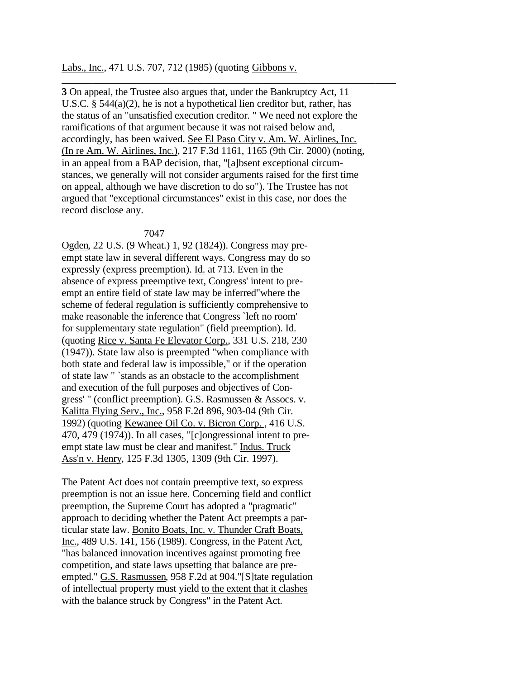Labs., Inc., 471 U.S. 707, 712 (1985) (quoting Gibbons v.

**3** On appeal, the Trustee also argues that, under the Bankruptcy Act, 11 U.S.C. § 544(a)(2), he is not a hypothetical lien creditor but, rather, has the status of an "unsatisfied execution creditor. " We need not explore the ramifications of that argument because it was not raised below and, accordingly, has been waived. See El Paso City v. Am. W. Airlines, Inc. (In re Am. W. Airlines, Inc.), 217 F.3d 1161, 1165 (9th Cir. 2000) (noting, in an appeal from a BAP decision, that, "[a]bsent exceptional circumstances, we generally will not consider arguments raised for the first time on appeal, although we have discretion to do so"). The Trustee has not argued that "exceptional circumstances" exist in this case, nor does the record disclose any.

\_\_\_\_\_\_\_\_\_\_\_\_\_\_\_\_\_\_\_\_\_\_\_\_\_\_\_\_\_\_\_\_\_\_\_\_\_\_\_\_\_\_\_\_\_\_\_\_\_\_\_\_\_\_\_\_\_\_\_\_\_\_\_\_\_

#### 7047

Ogden, 22 U.S. (9 Wheat.) 1, 92 (1824)). Congress may preempt state law in several different ways. Congress may do so expressly (express preemption). Id. at 713. Even in the absence of express preemptive text, Congress' intent to preempt an entire field of state law may be inferred"where the scheme of federal regulation is sufficiently comprehensive to make reasonable the inference that Congress `left no room' for supplementary state regulation" (field preemption). Id. (quoting Rice v. Santa Fe Elevator Corp., 331 U.S. 218, 230 (1947)). State law also is preempted "when compliance with both state and federal law is impossible," or if the operation of state law " `stands as an obstacle to the accomplishment and execution of the full purposes and objectives of Congress' " (conflict preemption). G.S. Rasmussen & Assocs. v. Kalitta Flying Serv., Inc., 958 F.2d 896, 903-04 (9th Cir. 1992) (quoting Kewanee Oil Co. v. Bicron Corp. , 416 U.S. 470, 479 (1974)). In all cases, "[c]ongressional intent to preempt state law must be clear and manifest." Indus. Truck Ass'n v. Henry, 125 F.3d 1305, 1309 (9th Cir. 1997).

The Patent Act does not contain preemptive text, so express preemption is not an issue here. Concerning field and conflict preemption, the Supreme Court has adopted a "pragmatic" approach to deciding whether the Patent Act preempts a particular state law. Bonito Boats, Inc. v. Thunder Craft Boats, Inc., 489 U.S. 141, 156 (1989). Congress, in the Patent Act, "has balanced innovation incentives against promoting free competition, and state laws upsetting that balance are preempted." G.S. Rasmussen, 958 F.2d at 904."[S]tate regulation of intellectual property must yield to the extent that it clashes with the balance struck by Congress" in the Patent Act.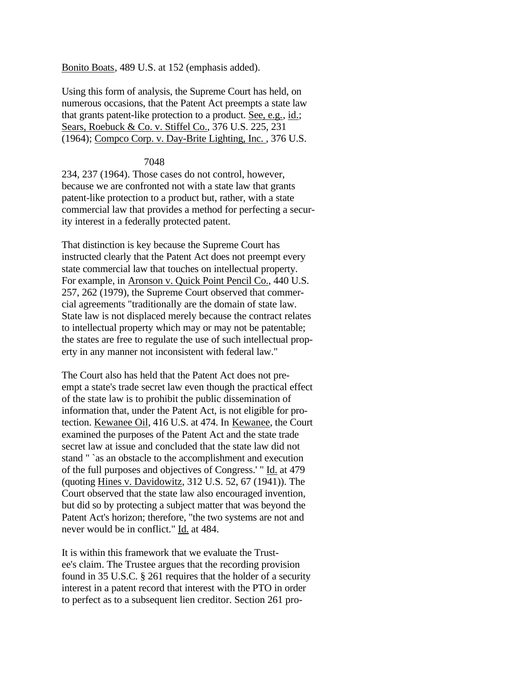Bonito Boats, 489 U.S. at 152 (emphasis added).

Using this form of analysis, the Supreme Court has held, on numerous occasions, that the Patent Act preempts a state law that grants patent-like protection to a product. See, e.g., id.; Sears, Roebuck & Co. v. Stiffel Co., 376 U.S. 225, 231 (1964); Compco Corp. v. Day-Brite Lighting, Inc. , 376 U.S.

### 7048

234, 237 (1964). Those cases do not control, however, because we are confronted not with a state law that grants patent-like protection to a product but, rather, with a state commercial law that provides a method for perfecting a security interest in a federally protected patent.

That distinction is key because the Supreme Court has instructed clearly that the Patent Act does not preempt every state commercial law that touches on intellectual property. For example, in Aronson v. Quick Point Pencil Co., 440 U.S. 257, 262 (1979), the Supreme Court observed that commercial agreements "traditionally are the domain of state law. State law is not displaced merely because the contract relates to intellectual property which may or may not be patentable; the states are free to regulate the use of such intellectual property in any manner not inconsistent with federal law."

The Court also has held that the Patent Act does not preempt a state's trade secret law even though the practical effect of the state law is to prohibit the public dissemination of information that, under the Patent Act, is not eligible for protection. Kewanee Oil, 416 U.S. at 474. In Kewanee, the Court examined the purposes of the Patent Act and the state trade secret law at issue and concluded that the state law did not stand " `as an obstacle to the accomplishment and execution of the full purposes and objectives of Congress.' " Id. at 479 (quoting Hines v. Davidowitz, 312 U.S. 52, 67 (1941)). The Court observed that the state law also encouraged invention, but did so by protecting a subject matter that was beyond the Patent Act's horizon; therefore, "the two systems are not and never would be in conflict." Id. at 484.

It is within this framework that we evaluate the Trustee's claim. The Trustee argues that the recording provision found in 35 U.S.C. § 261 requires that the holder of a security interest in a patent record that interest with the PTO in order to perfect as to a subsequent lien creditor. Section 261 pro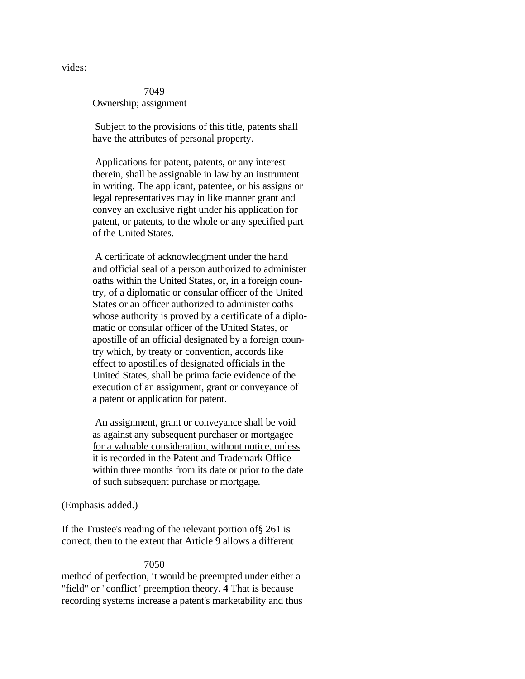vides:

 7049 Ownership; assignment

 Subject to the provisions of this title, patents shall have the attributes of personal property.

 Applications for patent, patents, or any interest therein, shall be assignable in law by an instrument in writing. The applicant, patentee, or his assigns or legal representatives may in like manner grant and convey an exclusive right under his application for patent, or patents, to the whole or any specified part of the United States.

 A certificate of acknowledgment under the hand and official seal of a person authorized to administer oaths within the United States, or, in a foreign country, of a diplomatic or consular officer of the United States or an officer authorized to administer oaths whose authority is proved by a certificate of a diplomatic or consular officer of the United States, or apostille of an official designated by a foreign country which, by treaty or convention, accords like effect to apostilles of designated officials in the United States, shall be prima facie evidence of the execution of an assignment, grant or conveyance of a patent or application for patent.

An assignment, grant or conveyance shall be void as against any subsequent purchaser or mortgagee for a valuable consideration, without notice, unless it is recorded in the Patent and Trademark Office within three months from its date or prior to the date of such subsequent purchase or mortgage.

### (Emphasis added.)

If the Trustee's reading of the relevant portion of§ 261 is correct, then to the extent that Article 9 allows a different

#### 7050

method of perfection, it would be preempted under either a "field" or "conflict" preemption theory. **4** That is because recording systems increase a patent's marketability and thus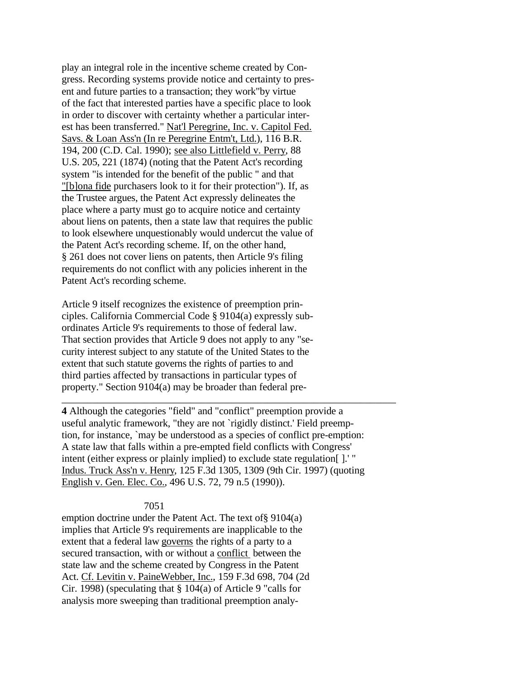play an integral role in the incentive scheme created by Congress. Recording systems provide notice and certainty to present and future parties to a transaction; they work"by virtue of the fact that interested parties have a specific place to look in order to discover with certainty whether a particular interest has been transferred." Nat'l Peregrine, Inc. v. Capitol Fed. Savs. & Loan Ass'n (In re Peregrine Entm't, Ltd.), 116 B.R. 194, 200 (C.D. Cal. 1990); see also Littlefield v. Perry, 88 U.S. 205, 221 (1874) (noting that the Patent Act's recording system "is intended for the benefit of the public " and that "[b]ona fide purchasers look to it for their protection"). If, as the Trustee argues, the Patent Act expressly delineates the place where a party must go to acquire notice and certainty about liens on patents, then a state law that requires the public to look elsewhere unquestionably would undercut the value of the Patent Act's recording scheme. If, on the other hand, § 261 does not cover liens on patents, then Article 9's filing requirements do not conflict with any policies inherent in the Patent Act's recording scheme.

Article 9 itself recognizes the existence of preemption principles. California Commercial Code § 9104(a) expressly subordinates Article 9's requirements to those of federal law. That section provides that Article 9 does not apply to any "security interest subject to any statute of the United States to the extent that such statute governs the rights of parties to and third parties affected by transactions in particular types of property." Section 9104(a) may be broader than federal pre-

**4** Although the categories "field" and "conflict" preemption provide a useful analytic framework, "they are not `rigidly distinct.' Field preemption, for instance, `may be understood as a species of conflict pre-emption: A state law that falls within a pre-empted field conflicts with Congress' intent (either express or plainly implied) to exclude state regulation[ ].' " Indus. Truck Ass'n v. Henry, 125 F.3d 1305, 1309 (9th Cir. 1997) (quoting English v. Gen. Elec. Co., 496 U.S. 72, 79 n.5 (1990)).

\_\_\_\_\_\_\_\_\_\_\_\_\_\_\_\_\_\_\_\_\_\_\_\_\_\_\_\_\_\_\_\_\_\_\_\_\_\_\_\_\_\_\_\_\_\_\_\_\_\_\_\_\_\_\_\_\_\_\_\_\_\_\_\_\_

#### 7051

emption doctrine under the Patent Act. The text of§ 9104(a) implies that Article 9's requirements are inapplicable to the extent that a federal law governs the rights of a party to a secured transaction, with or without a conflict between the state law and the scheme created by Congress in the Patent Act. Cf. Levitin v. PaineWebber, Inc., 159 F.3d 698, 704 (2d Cir. 1998) (speculating that § 104(a) of Article 9 "calls for analysis more sweeping than traditional preemption analy-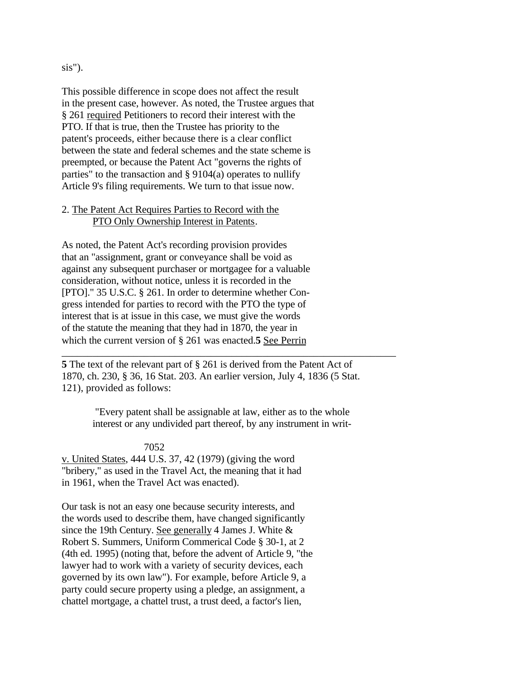### sis").

This possible difference in scope does not affect the result in the present case, however. As noted, the Trustee argues that § 261 required Petitioners to record their interest with the PTO. If that is true, then the Trustee has priority to the patent's proceeds, either because there is a clear conflict between the state and federal schemes and the state scheme is preempted, or because the Patent Act "governs the rights of parties" to the transaction and § 9104(a) operates to nullify Article 9's filing requirements. We turn to that issue now.

## 2. The Patent Act Requires Parties to Record with the PTO Only Ownership Interest in Patents.

As noted, the Patent Act's recording provision provides that an "assignment, grant or conveyance shall be void as against any subsequent purchaser or mortgagee for a valuable consideration, without notice, unless it is recorded in the [PTO]." 35 U.S.C. § 261. In order to determine whether Congress intended for parties to record with the PTO the type of interest that is at issue in this case, we must give the words of the statute the meaning that they had in 1870, the year in which the current version of § 261 was enacted.**5** See Perrin

**5** The text of the relevant part of § 261 is derived from the Patent Act of 1870, ch. 230, § 36, 16 Stat. 203. An earlier version, July 4, 1836 (5 Stat. 121), provided as follows:

> "Every patent shall be assignable at law, either as to the whole interest or any undivided part thereof, by any instrument in writ-

\_\_\_\_\_\_\_\_\_\_\_\_\_\_\_\_\_\_\_\_\_\_\_\_\_\_\_\_\_\_\_\_\_\_\_\_\_\_\_\_\_\_\_\_\_\_\_\_\_\_\_\_\_\_\_\_\_\_\_\_\_\_\_\_\_

### 7052

v. United States, 444 U.S. 37, 42 (1979) (giving the word "bribery," as used in the Travel Act, the meaning that it had in 1961, when the Travel Act was enacted).

Our task is not an easy one because security interests, and the words used to describe them, have changed significantly since the 19th Century. See generally 4 James J. White & Robert S. Summers, Uniform Commerical Code § 30-1, at 2 (4th ed. 1995) (noting that, before the advent of Article 9, "the lawyer had to work with a variety of security devices, each governed by its own law"). For example, before Article 9, a party could secure property using a pledge, an assignment, a chattel mortgage, a chattel trust, a trust deed, a factor's lien,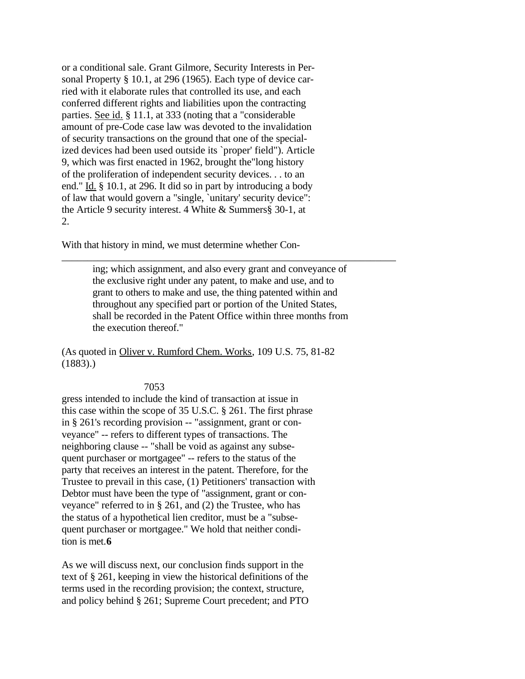or a conditional sale. Grant Gilmore, Security Interests in Personal Property § 10.1, at 296 (1965). Each type of device carried with it elaborate rules that controlled its use, and each conferred different rights and liabilities upon the contracting parties. See id. § 11.1, at 333 (noting that a "considerable amount of pre-Code case law was devoted to the invalidation of security transactions on the ground that one of the specialized devices had been used outside its `proper' field"). Article 9, which was first enacted in 1962, brought the"long history of the proliferation of independent security devices. . . to an end." Id. § 10.1, at 296. It did so in part by introducing a body of law that would govern a "single, `unitary' security device": the Article 9 security interest. 4 White & Summers§ 30-1, at 2.

With that history in mind, we must determine whether Con-

ing; which assignment, and also every grant and conveyance of the exclusive right under any patent, to make and use, and to grant to others to make and use, the thing patented within and throughout any specified part or portion of the United States, shall be recorded in the Patent Office within three months from the execution thereof."

\_\_\_\_\_\_\_\_\_\_\_\_\_\_\_\_\_\_\_\_\_\_\_\_\_\_\_\_\_\_\_\_\_\_\_\_\_\_\_\_\_\_\_\_\_\_\_\_\_\_\_\_\_\_\_\_\_\_\_\_\_\_\_\_\_

(As quoted in Oliver v. Rumford Chem. Works, 109 U.S. 75, 81-82  $(1883).$ 

7053

gress intended to include the kind of transaction at issue in this case within the scope of 35 U.S.C. § 261. The first phrase in § 261's recording provision -- "assignment, grant or conveyance" -- refers to different types of transactions. The neighboring clause -- "shall be void as against any subsequent purchaser or mortgagee" -- refers to the status of the party that receives an interest in the patent. Therefore, for the Trustee to prevail in this case, (1) Petitioners' transaction with Debtor must have been the type of "assignment, grant or conveyance" referred to in § 261, and (2) the Trustee, who has the status of a hypothetical lien creditor, must be a "subsequent purchaser or mortgagee." We hold that neither condition is met.**6**

As we will discuss next, our conclusion finds support in the text of § 261, keeping in view the historical definitions of the terms used in the recording provision; the context, structure, and policy behind § 261; Supreme Court precedent; and PTO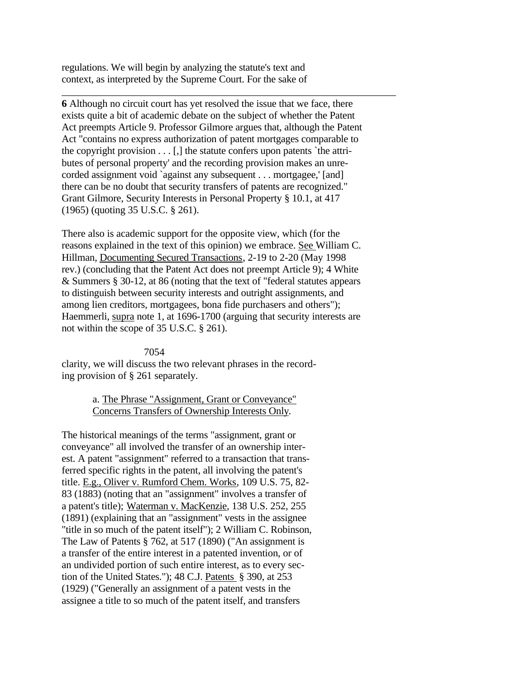regulations. We will begin by analyzing the statute's text and context, as interpreted by the Supreme Court. For the sake of

**6** Although no circuit court has yet resolved the issue that we face, there exists quite a bit of academic debate on the subject of whether the Patent Act preempts Article 9. Professor Gilmore argues that, although the Patent Act "contains no express authorization of patent mortgages comparable to the copyright provision  $\dots$  [,] the statute confers upon patents `the attributes of personal property' and the recording provision makes an unrecorded assignment void `against any subsequent . . . mortgagee,' [and] there can be no doubt that security transfers of patents are recognized." Grant Gilmore, Security Interests in Personal Property § 10.1, at 417 (1965) (quoting 35 U.S.C. § 261).

\_\_\_\_\_\_\_\_\_\_\_\_\_\_\_\_\_\_\_\_\_\_\_\_\_\_\_\_\_\_\_\_\_\_\_\_\_\_\_\_\_\_\_\_\_\_\_\_\_\_\_\_\_\_\_\_\_\_\_\_\_\_\_\_\_

There also is academic support for the opposite view, which (for the reasons explained in the text of this opinion) we embrace. See William C. Hillman, Documenting Secured Transactions, 2-19 to 2-20 (May 1998 rev.) (concluding that the Patent Act does not preempt Article 9); 4 White & Summers § 30-12, at 86 (noting that the text of "federal statutes appears to distinguish between security interests and outright assignments, and among lien creditors, mortgagees, bona fide purchasers and others"); Haemmerli, supra note 1, at 1696-1700 (arguing that security interests are not within the scope of 35 U.S.C. § 261).

### 7054

clarity, we will discuss the two relevant phrases in the recording provision of § 261 separately.

# a. The Phrase "Assignment, Grant or Conveyance" Concerns Transfers of Ownership Interests Only.

The historical meanings of the terms "assignment, grant or conveyance" all involved the transfer of an ownership interest. A patent "assignment" referred to a transaction that transferred specific rights in the patent, all involving the patent's title. E.g., Oliver v. Rumford Chem. Works, 109 U.S. 75, 82- 83 (1883) (noting that an "assignment" involves a transfer of a patent's title); Waterman v. MacKenzie, 138 U.S. 252, 255 (1891) (explaining that an "assignment" vests in the assignee "title in so much of the patent itself"); 2 William C. Robinson, The Law of Patents § 762, at 517 (1890) ("An assignment is a transfer of the entire interest in a patented invention, or of an undivided portion of such entire interest, as to every section of the United States."); 48 C.J. Patents § 390, at 253 (1929) ("Generally an assignment of a patent vests in the assignee a title to so much of the patent itself, and transfers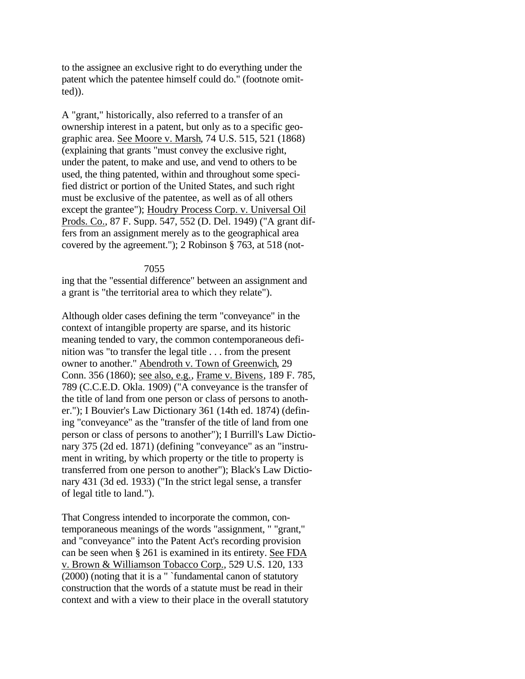to the assignee an exclusive right to do everything under the patent which the patentee himself could do." (footnote omitted)).

A "grant," historically, also referred to a transfer of an ownership interest in a patent, but only as to a specific geographic area. See Moore v. Marsh, 74 U.S. 515, 521 (1868) (explaining that grants "must convey the exclusive right, under the patent, to make and use, and vend to others to be used, the thing patented, within and throughout some specified district or portion of the United States, and such right must be exclusive of the patentee, as well as of all others except the grantee"); Houdry Process Corp. v. Universal Oil Prods. Co., 87 F. Supp. 547, 552 (D. Del. 1949) ("A grant differs from an assignment merely as to the geographical area covered by the agreement."); 2 Robinson § 763, at 518 (not-

#### 7055

ing that the "essential difference" between an assignment and a grant is "the territorial area to which they relate").

Although older cases defining the term "conveyance" in the context of intangible property are sparse, and its historic meaning tended to vary, the common contemporaneous definition was "to transfer the legal title . . . from the present owner to another." Abendroth v. Town of Greenwich, 29 Conn. 356 (1860); see also, e.g., Frame v. Bivens, 189 F. 785, 789 (C.C.E.D. Okla. 1909) ("A conveyance is the transfer of the title of land from one person or class of persons to another."); I Bouvier's Law Dictionary 361 (14th ed. 1874) (defining "conveyance" as the "transfer of the title of land from one person or class of persons to another"); I Burrill's Law Dictionary 375 (2d ed. 1871) (defining "conveyance" as an "instrument in writing, by which property or the title to property is transferred from one person to another"); Black's Law Dictionary 431 (3d ed. 1933) ("In the strict legal sense, a transfer of legal title to land.").

That Congress intended to incorporate the common, contemporaneous meanings of the words "assignment, " "grant," and "conveyance" into the Patent Act's recording provision can be seen when § 261 is examined in its entirety. See FDA v. Brown & Williamson Tobacco Corp., 529 U.S. 120, 133 (2000) (noting that it is a " `fundamental canon of statutory construction that the words of a statute must be read in their context and with a view to their place in the overall statutory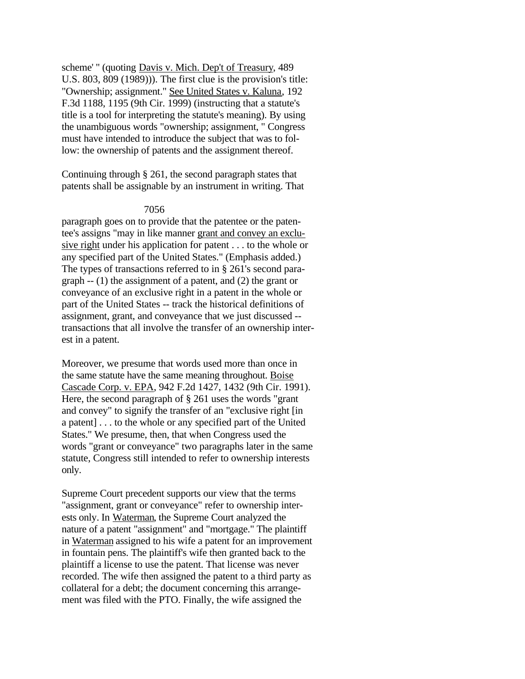scheme' " (quoting Davis v. Mich. Dep't of Treasury, 489 U.S. 803, 809 (1989))). The first clue is the provision's title: "Ownership; assignment." See United States v. Kaluna, 192 F.3d 1188, 1195 (9th Cir. 1999) (instructing that a statute's title is a tool for interpreting the statute's meaning). By using the unambiguous words "ownership; assignment, " Congress must have intended to introduce the subject that was to follow: the ownership of patents and the assignment thereof.

Continuing through § 261, the second paragraph states that patents shall be assignable by an instrument in writing. That

### 7056

paragraph goes on to provide that the patentee or the patentee's assigns "may in like manner grant and convey an exclusive right under his application for patent . . . to the whole or any specified part of the United States." (Emphasis added.) The types of transactions referred to in § 261's second paragraph -- (1) the assignment of a patent, and (2) the grant or conveyance of an exclusive right in a patent in the whole or part of the United States -- track the historical definitions of assignment, grant, and conveyance that we just discussed - transactions that all involve the transfer of an ownership interest in a patent.

Moreover, we presume that words used more than once in the same statute have the same meaning throughout. Boise Cascade Corp. v. EPA, 942 F.2d 1427, 1432 (9th Cir. 1991). Here, the second paragraph of § 261 uses the words "grant and convey" to signify the transfer of an "exclusive right [in a patent] . . . to the whole or any specified part of the United States." We presume, then, that when Congress used the words "grant or conveyance" two paragraphs later in the same statute, Congress still intended to refer to ownership interests only.

Supreme Court precedent supports our view that the terms "assignment, grant or conveyance" refer to ownership interests only. In Waterman, the Supreme Court analyzed the nature of a patent "assignment" and "mortgage." The plaintiff in Waterman assigned to his wife a patent for an improvement in fountain pens. The plaintiff's wife then granted back to the plaintiff a license to use the patent. That license was never recorded. The wife then assigned the patent to a third party as collateral for a debt; the document concerning this arrangement was filed with the PTO. Finally, the wife assigned the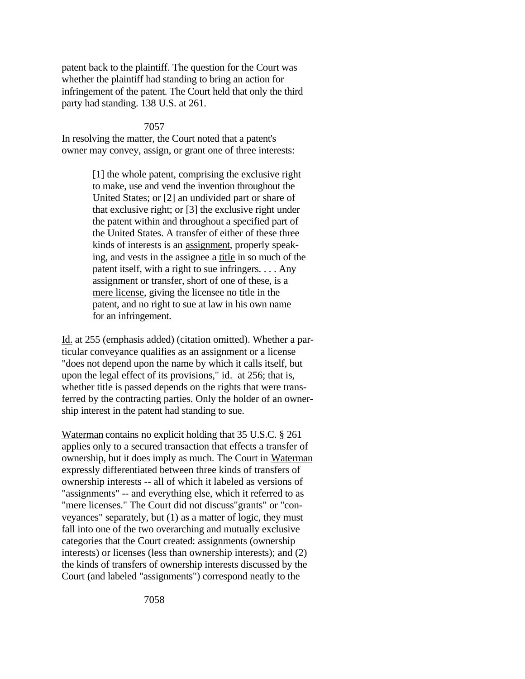patent back to the plaintiff. The question for the Court was whether the plaintiff had standing to bring an action for infringement of the patent. The Court held that only the third party had standing. 138 U.S. at 261.

### 7057

In resolving the matter, the Court noted that a patent's owner may convey, assign, or grant one of three interests:

> [1] the whole patent, comprising the exclusive right to make, use and vend the invention throughout the United States; or [2] an undivided part or share of that exclusive right; or [3] the exclusive right under the patent within and throughout a specified part of the United States. A transfer of either of these three kinds of interests is an assignment, properly speaking, and vests in the assignee a title in so much of the patent itself, with a right to sue infringers. . . . Any assignment or transfer, short of one of these, is a mere license, giving the licensee no title in the patent, and no right to sue at law in his own name for an infringement.

Id. at 255 (emphasis added) (citation omitted). Whether a particular conveyance qualifies as an assignment or a license "does not depend upon the name by which it calls itself, but upon the legal effect of its provisions," id. at 256; that is, whether title is passed depends on the rights that were transferred by the contracting parties. Only the holder of an ownership interest in the patent had standing to sue.

Waterman contains no explicit holding that 35 U.S.C. § 261 applies only to a secured transaction that effects a transfer of ownership, but it does imply as much. The Court in Waterman expressly differentiated between three kinds of transfers of ownership interests -- all of which it labeled as versions of "assignments" -- and everything else, which it referred to as "mere licenses." The Court did not discuss"grants" or "conveyances" separately, but (1) as a matter of logic, they must fall into one of the two overarching and mutually exclusive categories that the Court created: assignments (ownership interests) or licenses (less than ownership interests); and (2) the kinds of transfers of ownership interests discussed by the Court (and labeled "assignments") correspond neatly to the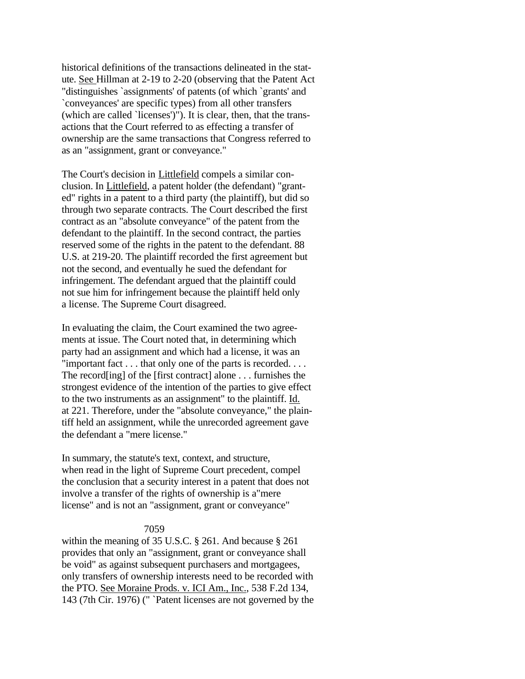historical definitions of the transactions delineated in the statute. See Hillman at 2-19 to 2-20 (observing that the Patent Act "distinguishes `assignments' of patents (of which `grants' and `conveyances' are specific types) from all other transfers (which are called `licenses')"). It is clear, then, that the transactions that the Court referred to as effecting a transfer of ownership are the same transactions that Congress referred to as an "assignment, grant or conveyance."

The Court's decision in Littlefield compels a similar conclusion. In Littlefield, a patent holder (the defendant) "granted" rights in a patent to a third party (the plaintiff), but did so through two separate contracts. The Court described the first contract as an "absolute conveyance" of the patent from the defendant to the plaintiff. In the second contract, the parties reserved some of the rights in the patent to the defendant. 88 U.S. at 219-20. The plaintiff recorded the first agreement but not the second, and eventually he sued the defendant for infringement. The defendant argued that the plaintiff could not sue him for infringement because the plaintiff held only a license. The Supreme Court disagreed.

In evaluating the claim, the Court examined the two agreements at issue. The Court noted that, in determining which party had an assignment and which had a license, it was an "important fact . . . that only one of the parts is recorded. . . . The record[ing] of the [first contract] alone . . . furnishes the strongest evidence of the intention of the parties to give effect to the two instruments as an assignment" to the plaintiff. Id. at 221. Therefore, under the "absolute conveyance," the plaintiff held an assignment, while the unrecorded agreement gave the defendant a "mere license."

In summary, the statute's text, context, and structure, when read in the light of Supreme Court precedent, compel the conclusion that a security interest in a patent that does not involve a transfer of the rights of ownership is a"mere license" and is not an "assignment, grant or conveyance"

#### 7059

within the meaning of 35 U.S.C. § 261. And because § 261 provides that only an "assignment, grant or conveyance shall be void" as against subsequent purchasers and mortgagees, only transfers of ownership interests need to be recorded with the PTO. See Moraine Prods. v. ICI Am., Inc., 538 F.2d 134, 143 (7th Cir. 1976) (" `Patent licenses are not governed by the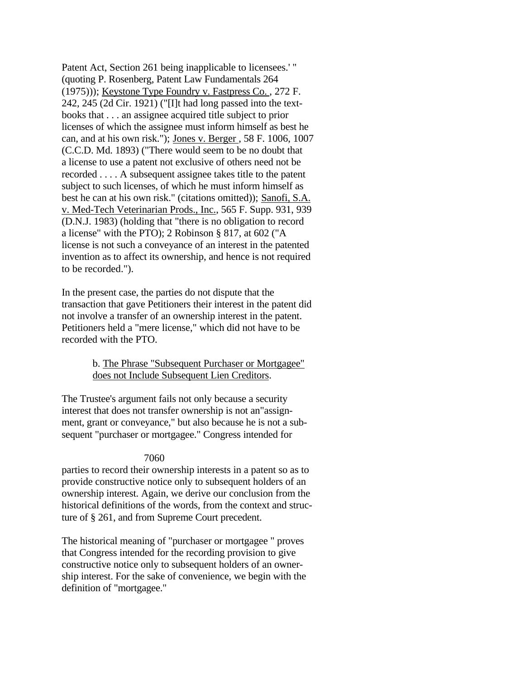Patent Act, Section 261 being inapplicable to licensees.' " (quoting P. Rosenberg, Patent Law Fundamentals 264 (1975))); Keystone Type Foundry v. Fastpress Co. , 272 F. 242, 245 (2d Cir. 1921) ("[I]t had long passed into the textbooks that . . . an assignee acquired title subject to prior licenses of which the assignee must inform himself as best he can, and at his own risk."); Jones v. Berger , 58 F. 1006, 1007 (C.C.D. Md. 1893) ("There would seem to be no doubt that a license to use a patent not exclusive of others need not be recorded . . . . A subsequent assignee takes title to the patent subject to such licenses, of which he must inform himself as best he can at his own risk." (citations omitted)); Sanofi, S.A. v. Med-Tech Veterinarian Prods., Inc., 565 F. Supp. 931, 939 (D.N.J. 1983) (holding that "there is no obligation to record a license" with the PTO); 2 Robinson § 817, at 602 ("A license is not such a conveyance of an interest in the patented invention as to affect its ownership, and hence is not required to be recorded.").

In the present case, the parties do not dispute that the transaction that gave Petitioners their interest in the patent did not involve a transfer of an ownership interest in the patent. Petitioners held a "mere license," which did not have to be recorded with the PTO.

## b. The Phrase "Subsequent Purchaser or Mortgagee" does not Include Subsequent Lien Creditors.

The Trustee's argument fails not only because a security interest that does not transfer ownership is not an"assignment, grant or conveyance," but also because he is not a subsequent "purchaser or mortgagee." Congress intended for

## 7060

parties to record their ownership interests in a patent so as to provide constructive notice only to subsequent holders of an ownership interest. Again, we derive our conclusion from the historical definitions of the words, from the context and structure of § 261, and from Supreme Court precedent.

The historical meaning of "purchaser or mortgagee " proves that Congress intended for the recording provision to give constructive notice only to subsequent holders of an ownership interest. For the sake of convenience, we begin with the definition of "mortgagee."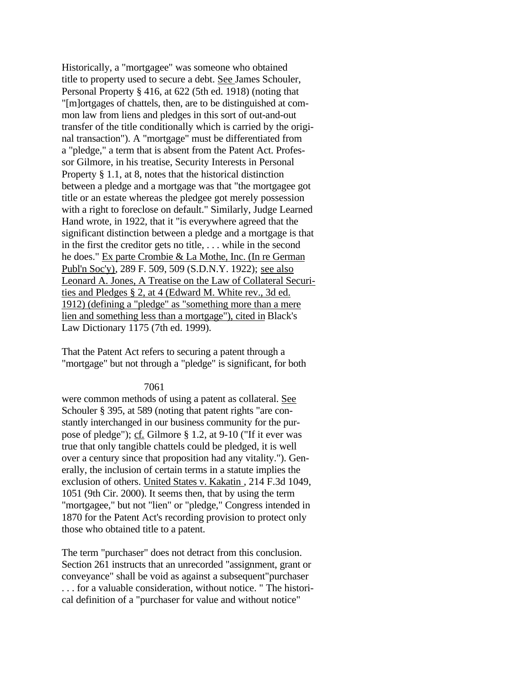Historically, a "mortgagee" was someone who obtained title to property used to secure a debt. See James Schouler, Personal Property § 416, at 622 (5th ed. 1918) (noting that "[m]ortgages of chattels, then, are to be distinguished at common law from liens and pledges in this sort of out-and-out transfer of the title conditionally which is carried by the original transaction"). A "mortgage" must be differentiated from a "pledge," a term that is absent from the Patent Act. Professor Gilmore, in his treatise, Security Interests in Personal Property § 1.1, at 8, notes that the historical distinction between a pledge and a mortgage was that "the mortgagee got title or an estate whereas the pledgee got merely possession with a right to foreclose on default." Similarly, Judge Learned Hand wrote, in 1922, that it "is everywhere agreed that the significant distinction between a pledge and a mortgage is that in the first the creditor gets no title, . . . while in the second he does." Ex parte Crombie & La Mothe, Inc. (In re German Publ'n Soc'y), 289 F. 509, 509 (S.D.N.Y. 1922); see also Leonard A. Jones, A Treatise on the Law of Collateral Securities and Pledges § 2, at 4 (Edward M. White rev., 3d ed. 1912) (defining a "pledge" as "something more than a mere lien and something less than a mortgage"), cited in Black's Law Dictionary 1175 (7th ed. 1999).

That the Patent Act refers to securing a patent through a "mortgage" but not through a "pledge" is significant, for both

#### 7061

were common methods of using a patent as collateral. See Schouler § 395, at 589 (noting that patent rights "are constantly interchanged in our business community for the purpose of pledge"); cf. Gilmore § 1.2, at 9-10 ("If it ever was true that only tangible chattels could be pledged, it is well over a century since that proposition had any vitality."). Generally, the inclusion of certain terms in a statute implies the exclusion of others. United States v. Kakatin , 214 F.3d 1049, 1051 (9th Cir. 2000). It seems then, that by using the term "mortgagee," but not "lien" or "pledge," Congress intended in 1870 for the Patent Act's recording provision to protect only those who obtained title to a patent.

The term "purchaser" does not detract from this conclusion. Section 261 instructs that an unrecorded "assignment, grant or conveyance" shall be void as against a subsequent"purchaser . . . for a valuable consideration, without notice. " The historical definition of a "purchaser for value and without notice"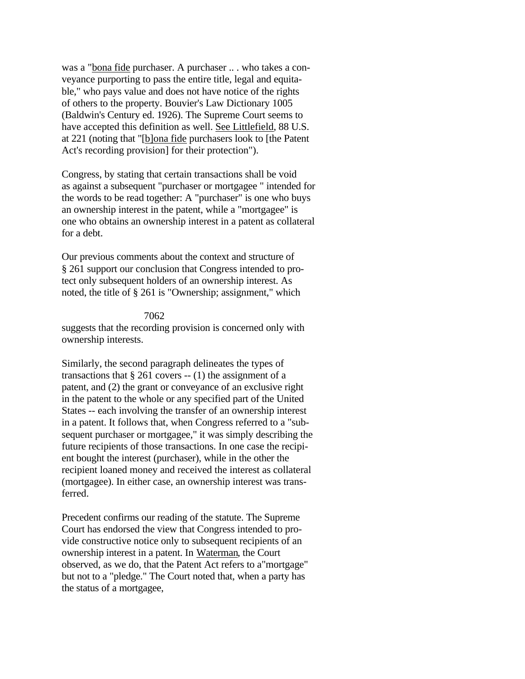was a "bona fide purchaser. A purchaser .. . who takes a conveyance purporting to pass the entire title, legal and equitable," who pays value and does not have notice of the rights of others to the property. Bouvier's Law Dictionary 1005 (Baldwin's Century ed. 1926). The Supreme Court seems to have accepted this definition as well. See Littlefield, 88 U.S. at 221 (noting that "[b]ona fide purchasers look to [the Patent Act's recording provision] for their protection").

Congress, by stating that certain transactions shall be void as against a subsequent "purchaser or mortgagee " intended for the words to be read together: A "purchaser" is one who buys an ownership interest in the patent, while a "mortgagee" is one who obtains an ownership interest in a patent as collateral for a debt.

Our previous comments about the context and structure of § 261 support our conclusion that Congress intended to protect only subsequent holders of an ownership interest. As noted, the title of § 261 is "Ownership; assignment," which

#### 7062

suggests that the recording provision is concerned only with ownership interests.

Similarly, the second paragraph delineates the types of transactions that  $\S 261$  covers  $- (1)$  the assignment of a patent, and (2) the grant or conveyance of an exclusive right in the patent to the whole or any specified part of the United States -- each involving the transfer of an ownership interest in a patent. It follows that, when Congress referred to a "subsequent purchaser or mortgagee," it was simply describing the future recipients of those transactions. In one case the recipient bought the interest (purchaser), while in the other the recipient loaned money and received the interest as collateral (mortgagee). In either case, an ownership interest was transferred.

Precedent confirms our reading of the statute. The Supreme Court has endorsed the view that Congress intended to provide constructive notice only to subsequent recipients of an ownership interest in a patent. In Waterman, the Court observed, as we do, that the Patent Act refers to a"mortgage" but not to a "pledge." The Court noted that, when a party has the status of a mortgagee,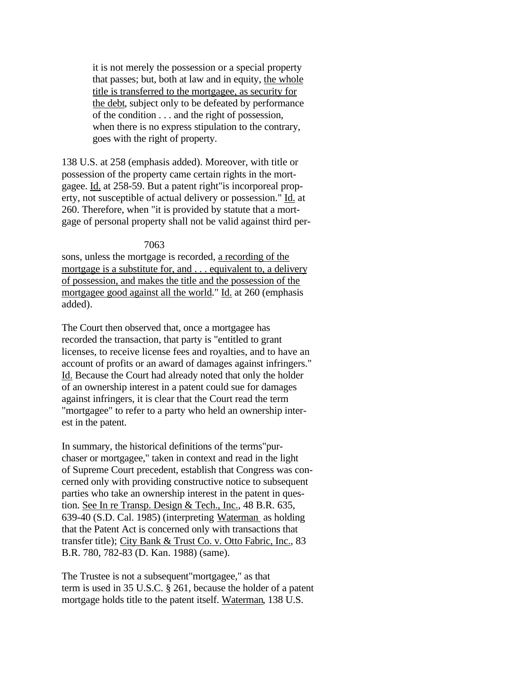it is not merely the possession or a special property that passes; but, both at law and in equity, the whole title is transferred to the mortgagee, as security for the debt, subject only to be defeated by performance of the condition . . . and the right of possession, when there is no express stipulation to the contrary, goes with the right of property.

138 U.S. at 258 (emphasis added). Moreover, with title or possession of the property came certain rights in the mortgagee. Id. at 258-59. But a patent right"is incorporeal property, not susceptible of actual delivery or possession." Id. at 260. Therefore, when "it is provided by statute that a mortgage of personal property shall not be valid against third per-

#### 7063

sons, unless the mortgage is recorded, a recording of the mortgage is a substitute for, and . . . equivalent to, a delivery of possession, and makes the title and the possession of the mortgagee good against all the world." Id. at 260 (emphasis added).

The Court then observed that, once a mortgagee has recorded the transaction, that party is "entitled to grant licenses, to receive license fees and royalties, and to have an account of profits or an award of damages against infringers." Id. Because the Court had already noted that only the holder of an ownership interest in a patent could sue for damages against infringers, it is clear that the Court read the term "mortgagee" to refer to a party who held an ownership interest in the patent.

In summary, the historical definitions of the terms"purchaser or mortgagee," taken in context and read in the light of Supreme Court precedent, establish that Congress was concerned only with providing constructive notice to subsequent parties who take an ownership interest in the patent in question. See In re Transp. Design & Tech., Inc., 48 B.R. 635, 639-40 (S.D. Cal. 1985) (interpreting Waterman as holding that the Patent Act is concerned only with transactions that transfer title); City Bank & Trust Co. v. Otto Fabric, Inc., 83 B.R. 780, 782-83 (D. Kan. 1988) (same).

The Trustee is not a subsequent"mortgagee," as that term is used in 35 U.S.C. § 261, because the holder of a patent mortgage holds title to the patent itself. Waterman, 138 U.S.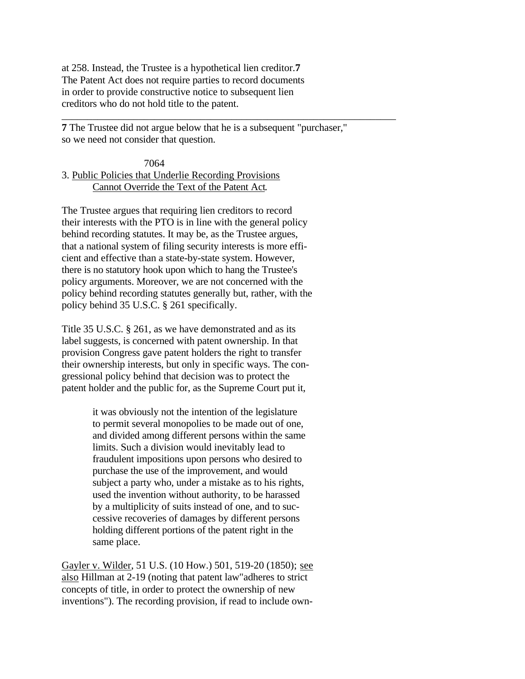at 258. Instead, the Trustee is a hypothetical lien creditor.**7** The Patent Act does not require parties to record documents in order to provide constructive notice to subsequent lien creditors who do not hold title to the patent.

**7** The Trustee did not argue below that he is a subsequent "purchaser," so we need not consider that question.

\_\_\_\_\_\_\_\_\_\_\_\_\_\_\_\_\_\_\_\_\_\_\_\_\_\_\_\_\_\_\_\_\_\_\_\_\_\_\_\_\_\_\_\_\_\_\_\_\_\_\_\_\_\_\_\_\_\_\_\_\_\_\_\_\_

## 7064 3. Public Policies that Underlie Recording Provisions Cannot Override the Text of the Patent Act.

The Trustee argues that requiring lien creditors to record their interests with the PTO is in line with the general policy behind recording statutes. It may be, as the Trustee argues, that a national system of filing security interests is more efficient and effective than a state-by-state system. However, there is no statutory hook upon which to hang the Trustee's policy arguments. Moreover, we are not concerned with the policy behind recording statutes generally but, rather, with the policy behind 35 U.S.C. § 261 specifically.

Title 35 U.S.C. § 261, as we have demonstrated and as its label suggests, is concerned with patent ownership. In that provision Congress gave patent holders the right to transfer their ownership interests, but only in specific ways. The congressional policy behind that decision was to protect the patent holder and the public for, as the Supreme Court put it,

> it was obviously not the intention of the legislature to permit several monopolies to be made out of one, and divided among different persons within the same limits. Such a division would inevitably lead to fraudulent impositions upon persons who desired to purchase the use of the improvement, and would subject a party who, under a mistake as to his rights, used the invention without authority, to be harassed by a multiplicity of suits instead of one, and to successive recoveries of damages by different persons holding different portions of the patent right in the same place.

Gayler v. Wilder, 51 U.S. (10 How.) 501, 519-20 (1850); see also Hillman at 2-19 (noting that patent law"adheres to strict concepts of title, in order to protect the ownership of new inventions"). The recording provision, if read to include own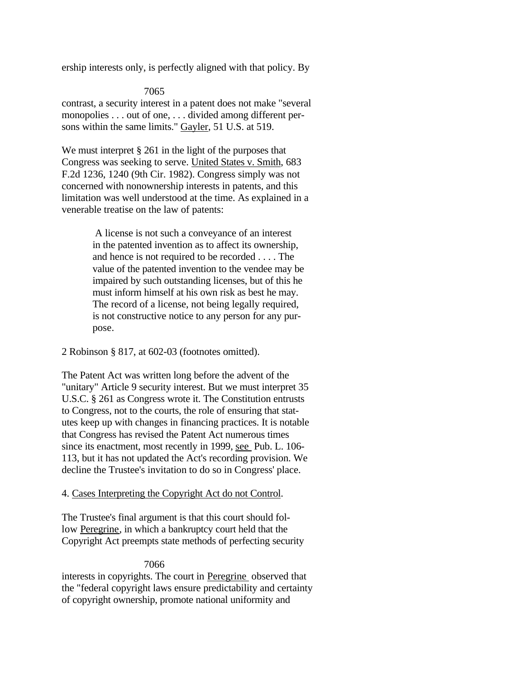ership interests only, is perfectly aligned with that policy. By

7065

contrast, a security interest in a patent does not make "several monopolies . . . out of one, . . . divided among different persons within the same limits." Gayler, 51 U.S. at 519.

We must interpret § 261 in the light of the purposes that Congress was seeking to serve. United States v. Smith, 683 F.2d 1236, 1240 (9th Cir. 1982). Congress simply was not concerned with nonownership interests in patents, and this limitation was well understood at the time. As explained in a venerable treatise on the law of patents:

> A license is not such a conveyance of an interest in the patented invention as to affect its ownership, and hence is not required to be recorded . . . . The value of the patented invention to the vendee may be impaired by such outstanding licenses, but of this he must inform himself at his own risk as best he may. The record of a license, not being legally required, is not constructive notice to any person for any purpose.

2 Robinson § 817, at 602-03 (footnotes omitted).

The Patent Act was written long before the advent of the "unitary" Article 9 security interest. But we must interpret 35 U.S.C. § 261 as Congress wrote it. The Constitution entrusts to Congress, not to the courts, the role of ensuring that statutes keep up with changes in financing practices. It is notable that Congress has revised the Patent Act numerous times since its enactment, most recently in 1999, see Pub. L. 106-113, but it has not updated the Act's recording provision. We decline the Trustee's invitation to do so in Congress' place.

### 4. Cases Interpreting the Copyright Act do not Control.

The Trustee's final argument is that this court should follow Peregrine, in which a bankruptcy court held that the Copyright Act preempts state methods of perfecting security

### 7066

interests in copyrights. The court in Peregrine observed that the "federal copyright laws ensure predictability and certainty of copyright ownership, promote national uniformity and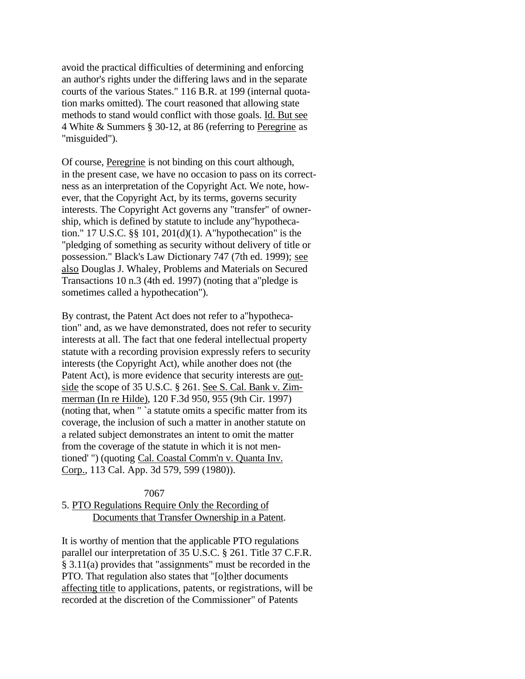avoid the practical difficulties of determining and enforcing an author's rights under the differing laws and in the separate courts of the various States." 116 B.R. at 199 (internal quotation marks omitted). The court reasoned that allowing state methods to stand would conflict with those goals. Id. But see 4 White & Summers § 30-12, at 86 (referring to Peregrine as "misguided").

Of course, Peregrine is not binding on this court although, in the present case, we have no occasion to pass on its correctness as an interpretation of the Copyright Act. We note, however, that the Copyright Act, by its terms, governs security interests. The Copyright Act governs any "transfer" of ownership, which is defined by statute to include any"hypothecation." 17 U.S.C. §§ 101, 201(d)(1). A"hypothecation" is the "pledging of something as security without delivery of title or possession." Black's Law Dictionary 747 (7th ed. 1999); see also Douglas J. Whaley, Problems and Materials on Secured Transactions 10 n.3 (4th ed. 1997) (noting that a"pledge is sometimes called a hypothecation").

By contrast, the Patent Act does not refer to a"hypothecation" and, as we have demonstrated, does not refer to security interests at all. The fact that one federal intellectual property statute with a recording provision expressly refers to security interests (the Copyright Act), while another does not (the Patent Act), is more evidence that security interests are outside the scope of 35 U.S.C. § 261. See S. Cal. Bank v. Zimmerman (In re Hilde), 120 F.3d 950, 955 (9th Cir. 1997) (noting that, when " `a statute omits a specific matter from its coverage, the inclusion of such a matter in another statute on a related subject demonstrates an intent to omit the matter from the coverage of the statute in which it is not mentioned' ") (quoting Cal. Coastal Comm'n v. Quanta Inv. Corp., 113 Cal. App. 3d 579, 599 (1980)).

## 7067 5. PTO Regulations Require Only the Recording of Documents that Transfer Ownership in a Patent.

It is worthy of mention that the applicable PTO regulations parallel our interpretation of 35 U.S.C. § 261. Title 37 C.F.R. § 3.11(a) provides that "assignments" must be recorded in the PTO. That regulation also states that "[o]ther documents affecting title to applications, patents, or registrations, will be recorded at the discretion of the Commissioner" of Patents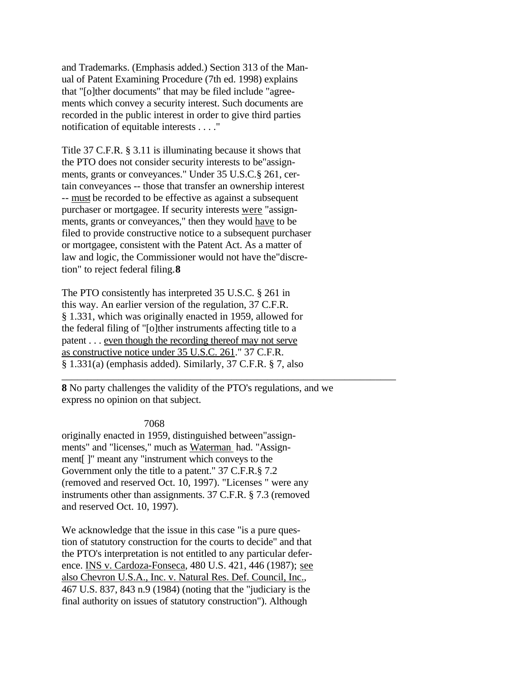and Trademarks. (Emphasis added.) Section 313 of the Manual of Patent Examining Procedure (7th ed. 1998) explains that "[o]ther documents" that may be filed include "agreements which convey a security interest. Such documents are recorded in the public interest in order to give third parties notification of equitable interests . . . ."

Title 37 C.F.R. § 3.11 is illuminating because it shows that the PTO does not consider security interests to be"assignments, grants or conveyances." Under 35 U.S.C.§ 261, certain conveyances -- those that transfer an ownership interest -- must be recorded to be effective as against a subsequent purchaser or mortgagee. If security interests were "assignments, grants or conveyances," then they would have to be filed to provide constructive notice to a subsequent purchaser or mortgagee, consistent with the Patent Act. As a matter of law and logic, the Commissioner would not have the"discretion" to reject federal filing.**8**

The PTO consistently has interpreted 35 U.S.C. § 261 in this way. An earlier version of the regulation, 37 C.F.R. § 1.331, which was originally enacted in 1959, allowed for the federal filing of "[o]ther instruments affecting title to a patent . . . even though the recording thereof may not serve as constructive notice under 35 U.S.C. 261." 37 C.F.R. § 1.331(a) (emphasis added). Similarly, 37 C.F.R. § 7, also

**8** No party challenges the validity of the PTO's regulations, and we express no opinion on that subject.

\_\_\_\_\_\_\_\_\_\_\_\_\_\_\_\_\_\_\_\_\_\_\_\_\_\_\_\_\_\_\_\_\_\_\_\_\_\_\_\_\_\_\_\_\_\_\_\_\_\_\_\_\_\_\_\_\_\_\_\_\_\_\_\_\_

7068

originally enacted in 1959, distinguished between"assignments" and "licenses," much as Waterman had. "Assignment[ ]" meant any "instrument which conveys to the Government only the title to a patent." 37 C.F.R.§ 7.2 (removed and reserved Oct. 10, 1997). "Licenses " were any instruments other than assignments. 37 C.F.R. § 7.3 (removed and reserved Oct. 10, 1997).

We acknowledge that the issue in this case "is a pure question of statutory construction for the courts to decide" and that the PTO's interpretation is not entitled to any particular deference. INS v. Cardoza-Fonseca, 480 U.S. 421, 446 (1987); see also Chevron U.S.A., Inc. v. Natural Res. Def. Council, Inc., 467 U.S. 837, 843 n.9 (1984) (noting that the "judiciary is the final authority on issues of statutory construction"). Although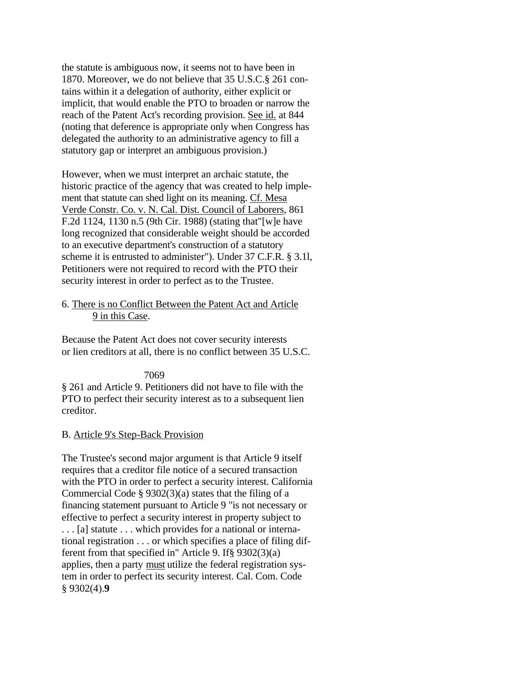the statute is ambiguous now, it seems not to have been in 1870. Moreover, we do not believe that 35 U.S.C.§ 261 contains within it a delegation of authority, either explicit or implicit, that would enable the PTO to broaden or narrow the reach of the Patent Act's recording provision. See id. at 844 (noting that deference is appropriate only when Congress has delegated the authority to an administrative agency to fill a statutory gap or interpret an ambiguous provision.)

However, when we must interpret an archaic statute, the historic practice of the agency that was created to help implement that statute can shed light on its meaning. Cf. Mesa Verde Constr. Co. v. N. Cal. Dist. Council of Laborers, 861 F.2d 1124, 1130 n.5 (9th Cir. 1988) (stating that"[w]e have long recognized that considerable weight should be accorded to an executive department's construction of a statutory scheme it is entrusted to administer"). Under 37 C.F.R. § 3.1l, Petitioners were not required to record with the PTO their security interest in order to perfect as to the Trustee.

## 6. There is no Conflict Between the Patent Act and Article 9 in this Case.

Because the Patent Act does not cover security interests or lien creditors at all, there is no conflict between 35 U.S.C.

## 7069

§ 261 and Article 9. Petitioners did not have to file with the PTO to perfect their security interest as to a subsequent lien creditor.

## B. Article 9's Step-Back Provision

The Trustee's second major argument is that Article 9 itself requires that a creditor file notice of a secured transaction with the PTO in order to perfect a security interest. California Commercial Code  $\S 9302(3)(a)$  states that the filing of a financing statement pursuant to Article 9 "is not necessary or effective to perfect a security interest in property subject to . . . [a] statute . . . which provides for a national or international registration . . . or which specifies a place of filing different from that specified in" Article 9. If§ 9302(3)(a) applies, then a party must utilize the federal registration system in order to perfect its security interest. Cal. Com. Code § 9302(4).**9**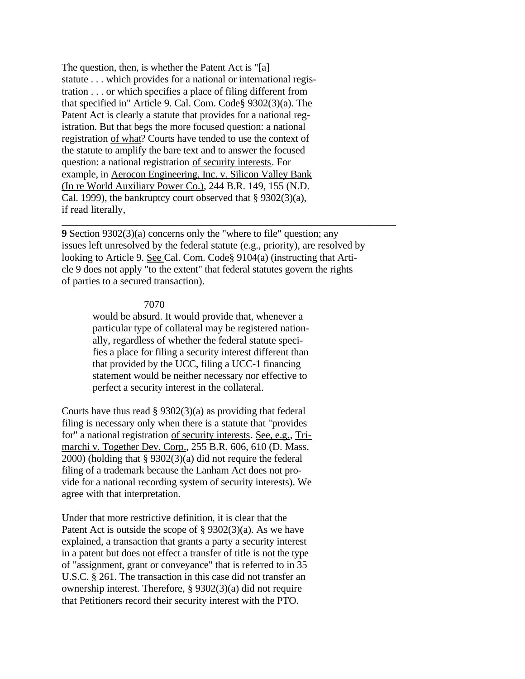The question, then, is whether the Patent Act is "[a] statute . . . which provides for a national or international registration . . . or which specifies a place of filing different from that specified in" Article 9. Cal. Com. Code§ 9302(3)(a). The Patent Act is clearly a statute that provides for a national registration. But that begs the more focused question: a national registration of what? Courts have tended to use the context of the statute to amplify the bare text and to answer the focused question: a national registration of security interests. For example, in Aerocon Engineering, Inc. v. Silicon Valley Bank (In re World Auxiliary Power Co.), 244 B.R. 149, 155 (N.D. Cal. 1999), the bankruptcy court observed that § 9302(3)(a), if read literally,

**9** Section 9302(3)(a) concerns only the "where to file" question; any issues left unresolved by the federal statute (e.g., priority), are resolved by looking to Article 9. See Cal. Com. Code§ 9104(a) (instructing that Article 9 does not apply "to the extent" that federal statutes govern the rights of parties to a secured transaction).

\_\_\_\_\_\_\_\_\_\_\_\_\_\_\_\_\_\_\_\_\_\_\_\_\_\_\_\_\_\_\_\_\_\_\_\_\_\_\_\_\_\_\_\_\_\_\_\_\_\_\_\_\_\_\_\_\_\_\_\_\_\_\_\_\_

### 7070

would be absurd. It would provide that, whenever a particular type of collateral may be registered nationally, regardless of whether the federal statute specifies a place for filing a security interest different than that provided by the UCC, filing a UCC-1 financing statement would be neither necessary nor effective to perfect a security interest in the collateral.

Courts have thus read  $\S 9302(3)(a)$  as providing that federal filing is necessary only when there is a statute that "provides for" a national registration of security interests. See, e.g., Trimarchi v. Together Dev. Corp., 255 B.R. 606, 610 (D. Mass. 2000) (holding that § 9302(3)(a) did not require the federal filing of a trademark because the Lanham Act does not provide for a national recording system of security interests). We agree with that interpretation.

Under that more restrictive definition, it is clear that the Patent Act is outside the scope of § 9302(3)(a). As we have explained, a transaction that grants a party a security interest in a patent but does not effect a transfer of title is not the type of "assignment, grant or conveyance" that is referred to in 35 U.S.C. § 261. The transaction in this case did not transfer an ownership interest. Therefore, § 9302(3)(a) did not require that Petitioners record their security interest with the PTO.